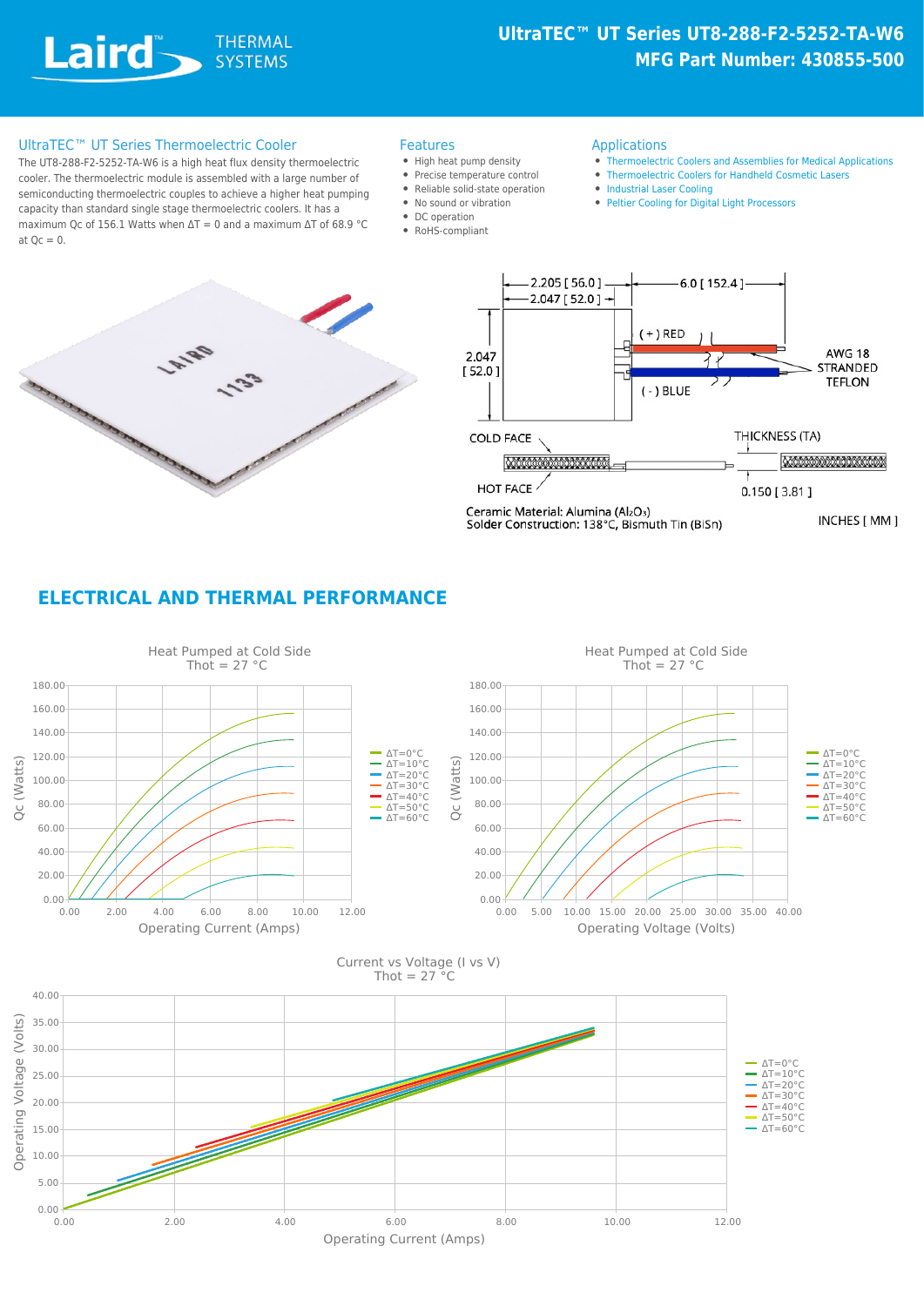## **UltraTEC™ UT Series UT8-288-F2-5252-TA-W6 MFG Part Number: 430855-500**

#### UltraTEC™ UT Series Thermoelectric Cooler Features

The UT8-288-F2-5252-TA-W6 is a high heat flux density thermoelectric cooler. The thermoelectric module is assembled with a large number of semiconducting thermoelectric couples to achieve a higher heat pumping capacity than standard single stage thermoelectric coolers. It has a maximum Qc of 156.1 Watts when  $\Delta T = 0$  and a maximum  $\Delta T$  of 68.9 °C at  $Qc = 0$ .

- High heat pump density
- Precise temperature control
- Reliable solid-state operation
- No sound or vibration
- DC operation
- RoHS-compliant

#### Applications

- [Thermoelectric Coolers and Assemblies for Medical Applications](https://www.lairdthermal.com/resources/application-notes/thermoelectric-modules-and-assemblies-medical-applications)
- [Thermoelectric Coolers for Handheld Cosmetic Lasers](https://www.lairdthermal.com/resources/application-notes/thermoelectric-coolers-for-handheld-cosmetic-lasers)
- [Industrial Laser Cooling](https://www.lairdthermal.com/applications/industrial-laser-cooling)
- [Peltier Cooling for Digital Light Processors](https://www.lairdthermal.com/resources/application-notes/Peltier-Cooling-for-Digital-Light-Processors)





Ceramic Material: Alumina (Al2O3)<br>Solder Construction: 138°C, Bismuth Tin (BiSn)

INCHES [ MM ]

### **ELECTRICAL AND THERMAL PERFORMANCE**

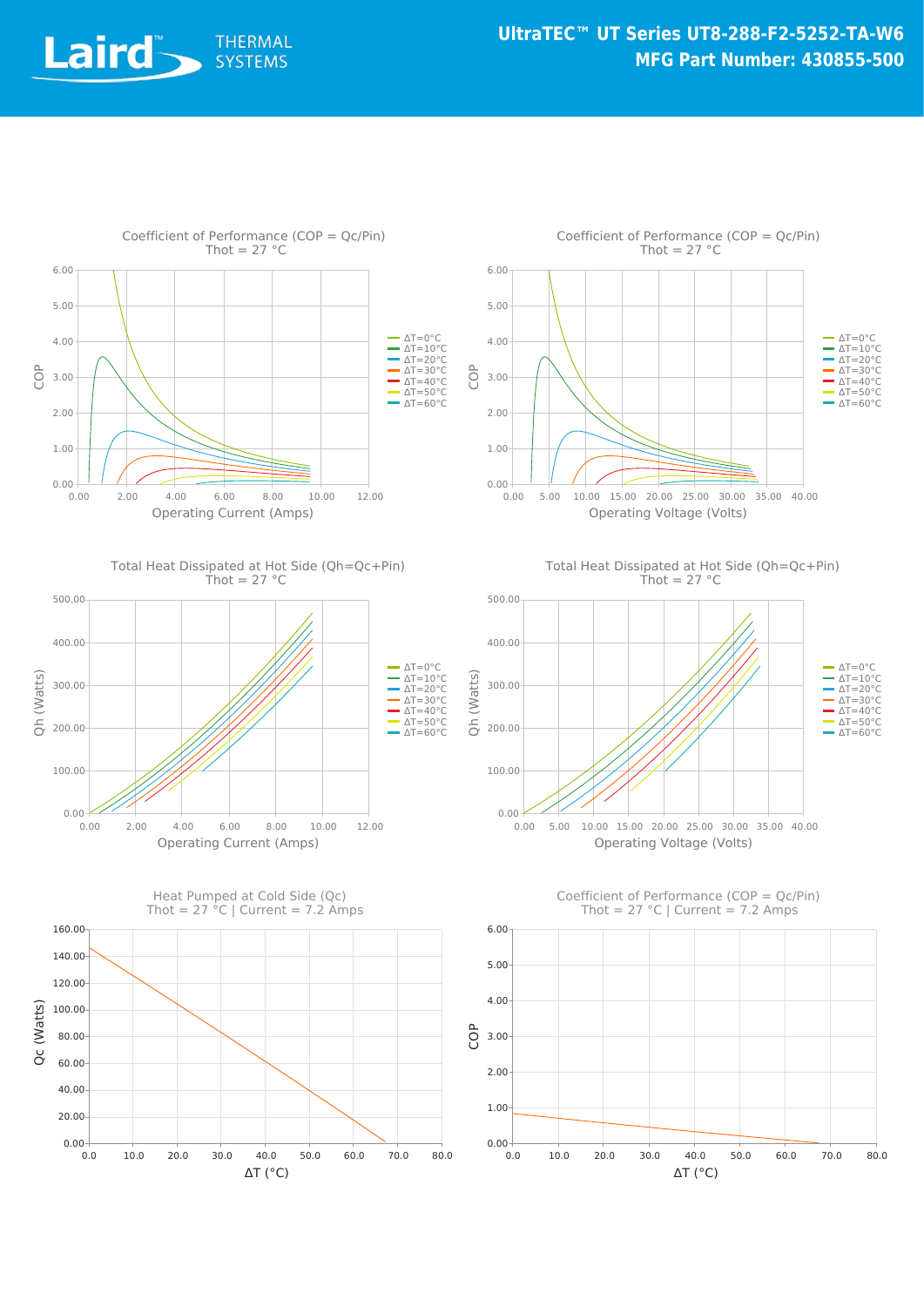













Coefficient of Performance (COP = Qc/Pin) Thot =  $27 °C$  | Current =  $7.2$  Amps